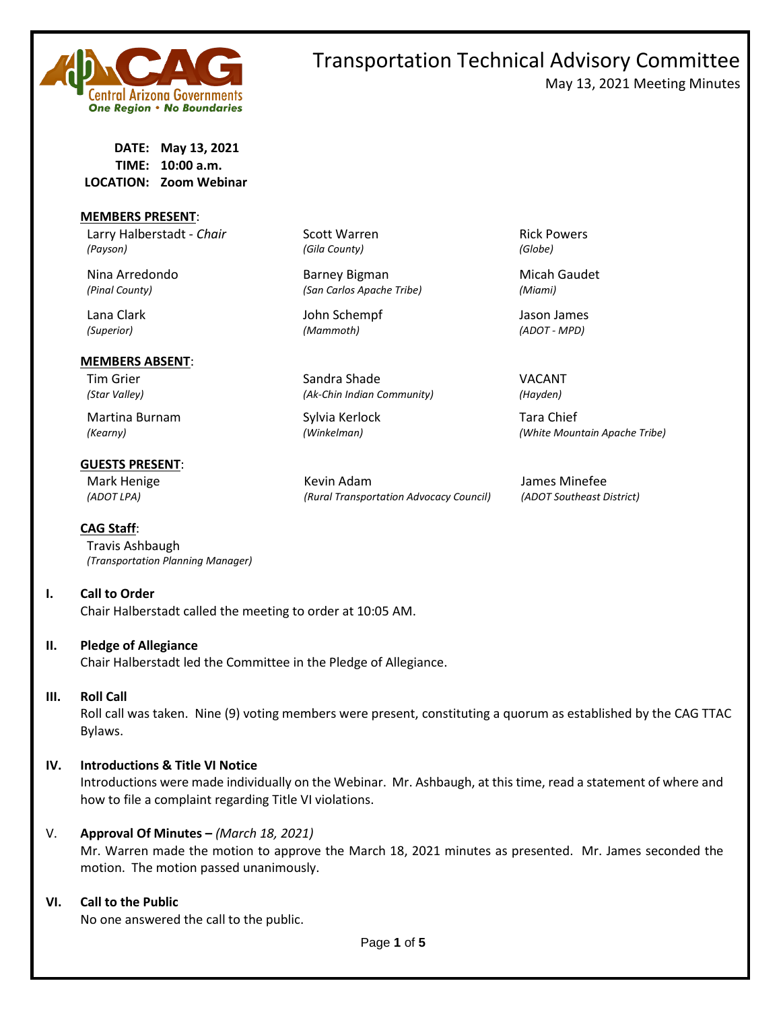

# Transportation Technical Advisory Committee May 13, 2021 Meeting Minutes

**DATE: May 13, 2021 TIME: 10:00 a.m. LOCATION: Zoom Webinar**

### **MEMBERS PRESENT**:

Larry Halberstadt - *Chair* Scott Warren **Rick Powers** Rick Powers *(Payson) (Gila County) (Globe)*

#### **MEMBERS ABSENT**:

Martina Burnam Sylvia Kerlock Tara Chief

## **GUESTS PRESENT**:

**CAG Staff**:

Travis Ashbaugh *(Transportation Planning Manager)*

# **I. Call to Order**

Chair Halberstadt called the meeting to order at 10:05 AM.

# **II. Pledge of Allegiance**

Chair Halberstadt led the Committee in the Pledge of Allegiance.

### **III. Roll Call**

Roll call was taken. Nine (9) voting members were present, constituting a quorum as established by the CAG TTAC Bylaws.

# **IV. Introductions & Title VI Notice**

Introductions were made individually on the Webinar. Mr. Ashbaugh, at this time, read a statement of where and how to file a complaint regarding Title VI violations.

# V. **Approval Of Minutes –** *(March 18, 2021)*

Mr. Warren made the motion to approve the March 18, 2021 minutes as presented. Mr. James seconded the motion. The motion passed unanimously.

### **VI. Call to the Public**

No one answered the call to the public.

Nina Arredondo **Barney Bigman** Micah Gaudet *(Pinal County) (San Carlos Apache Tribe) (Miami)*

Lana Clark John Schempf Jason James *(Superior) (Mammoth) (ADOT - MPD)*

Tim Grier National Sandra Shade Shade VACANT *(Star Valley) (Ak-Chin Indian Community) (Hayden)*

Mark Henige The Term of the Kevin Adam The Minefee Henry States Minefee *(ADOT LPA) (Rural Transportation Advocacy Council) (ADOT Southeast District)*

*(Kearny) (Winkelman) (White Mountain Apache Tribe)*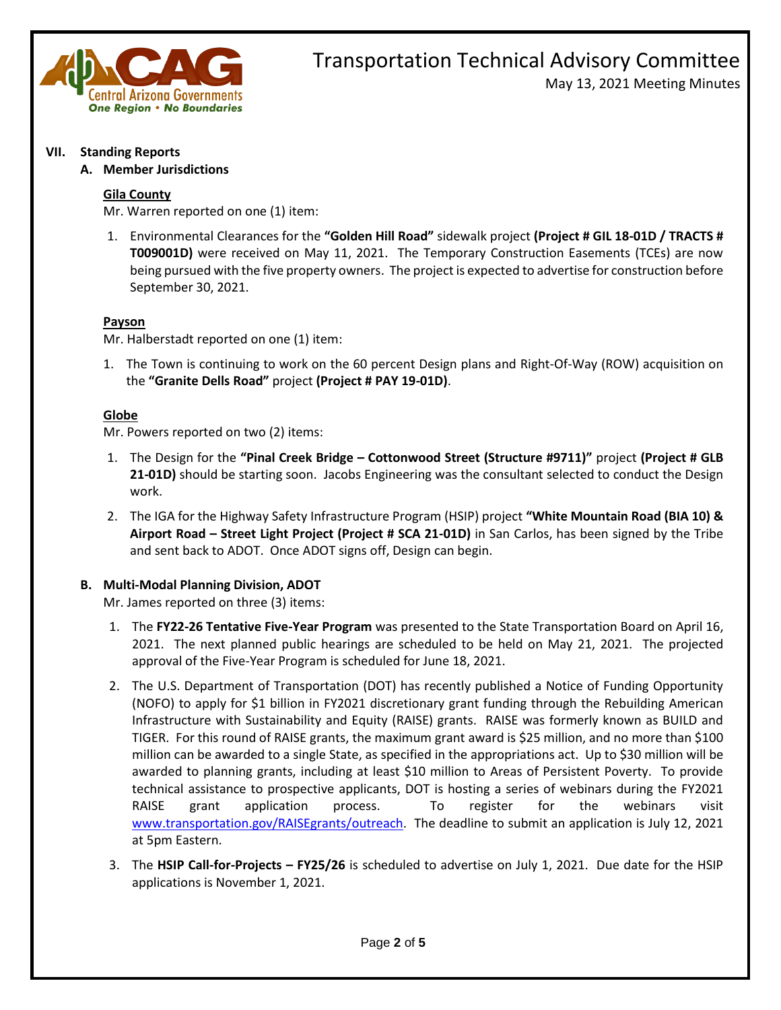

# Transportation Technical Advisory Committee May 13, 2021 Meeting Minutes

### **VII. Standing Reports**

## **A. Member Jurisdictions**

## **Gila County**

Mr. Warren reported on one (1) item:

1. Environmental Clearances for the **"Golden Hill Road"** sidewalk project **(Project # GIL 18-01D / TRACTS # T009001D)** were received on May 11, 2021. The Temporary Construction Easements (TCEs) are now being pursued with the five property owners. The project is expected to advertise for construction before September 30, 2021.

## **Payson**

Mr. Halberstadt reported on one (1) item:

1. The Town is continuing to work on the 60 percent Design plans and Right-Of-Way (ROW) acquisition on the **"Granite Dells Road"** project **(Project # PAY 19-01D)**.

## **Globe**

Mr. Powers reported on two (2) items:

- 1. The Design for the **"Pinal Creek Bridge – Cottonwood Street (Structure #9711)"** project **(Project # GLB 21-01D)** should be starting soon. Jacobs Engineering was the consultant selected to conduct the Design work.
- 2. The IGA for the Highway Safety Infrastructure Program (HSIP) project **"White Mountain Road (BIA 10) & Airport Road – Street Light Project (Project # SCA 21-01D)** in San Carlos, has been signed by the Tribe and sent back to ADOT. Once ADOT signs off, Design can begin.

# **B. Multi-Modal Planning Division, ADOT**

Mr. James reported on three (3) items:

- 1. The **FY22-26 Tentative Five-Year Program** was presented to the State Transportation Board on April 16, 2021. The next planned public hearings are scheduled to be held on May 21, 2021. The projected approval of the Five-Year Program is scheduled for June 18, 2021.
- 2. The U.S. Department of Transportation (DOT) has recently published a Notice of Funding Opportunity (NOFO) to apply for \$1 billion in FY2021 discretionary grant funding through the Rebuilding American Infrastructure with Sustainability and Equity (RAISE) grants. RAISE was formerly known as BUILD and TIGER. For this round of RAISE grants, the maximum grant award is \$25 million, and no more than \$100 million can be awarded to a single State, as specified in the appropriations act. Up to \$30 million will be awarded to planning grants, including at least \$10 million to Areas of Persistent Poverty. To provide technical assistance to prospective applicants, DOT is hosting a series of webinars during the FY2021 RAISE grant application process. To register for the webinars visit [www.transportation.gov/RAISEgrants/outreach.](http://www.transportation.gov/RAISEgrants/outreach) The deadline to submit an application is July 12, 2021 at 5pm Eastern.
- 3. The **HSIP Call-for-Projects – FY25/26** is scheduled to advertise on July 1, 2021. Due date for the HSIP applications is November 1, 2021.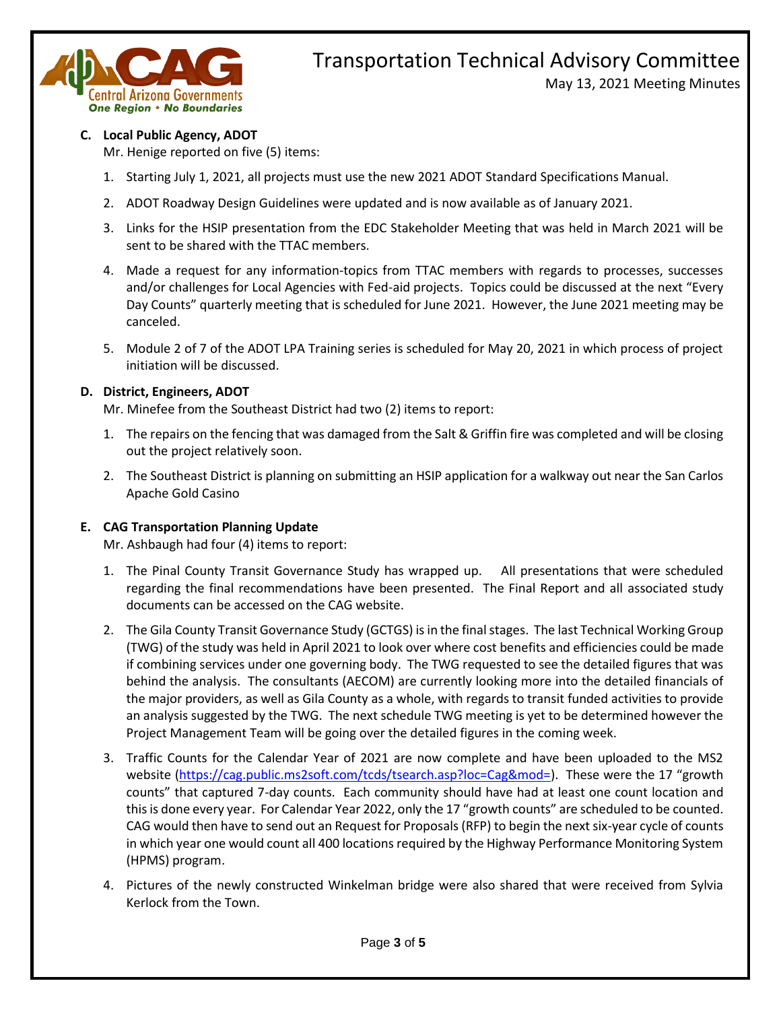

# Transportation Technical Advisory Committee

May 13, 2021 Meeting Minutes

# **C. Local Public Agency, ADOT**

Mr. Henige reported on five (5) items:

- 1. Starting July 1, 2021, all projects must use the new 2021 ADOT Standard Specifications Manual.
- 2. ADOT Roadway Design Guidelines were updated and is now available as of January 2021.
- 3. Links for the HSIP presentation from the EDC Stakeholder Meeting that was held in March 2021 will be sent to be shared with the TTAC members.
- 4. Made a request for any information-topics from TTAC members with regards to processes, successes and/or challenges for Local Agencies with Fed-aid projects. Topics could be discussed at the next "Every Day Counts" quarterly meeting that is scheduled for June 2021. However, the June 2021 meeting may be canceled.
- 5. Module 2 of 7 of the ADOT LPA Training series is scheduled for May 20, 2021 in which process of project initiation will be discussed.

# **D. District, Engineers, ADOT**

Mr. Minefee from the Southeast District had two (2) items to report:

- 1. The repairs on the fencing that was damaged from the Salt & Griffin fire was completed and will be closing out the project relatively soon.
- 2. The Southeast District is planning on submitting an HSIP application for a walkway out near the San Carlos Apache Gold Casino

# **E. CAG Transportation Planning Update**

Mr. Ashbaugh had four (4) items to report:

- 1. The Pinal County Transit Governance Study has wrapped up. All presentations that were scheduled regarding the final recommendations have been presented. The Final Report and all associated study documents can be accessed on the CAG website.
- 2. The Gila County Transit Governance Study (GCTGS) is in the final stages. The last Technical Working Group (TWG) of the study was held in April 2021 to look over where cost benefits and efficiencies could be made if combining services under one governing body. The TWG requested to see the detailed figures that was behind the analysis. The consultants (AECOM) are currently looking more into the detailed financials of the major providers, as well as Gila County as a whole, with regards to transit funded activities to provide an analysis suggested by the TWG. The next schedule TWG meeting is yet to be determined however the Project Management Team will be going over the detailed figures in the coming week.
- 3. Traffic Counts for the Calendar Year of 2021 are now complete and have been uploaded to the MS2 website [\(https://cag.public.ms2soft.com/tcds/tsearch.asp?loc=Cag&mod=\)](https://cag.public.ms2soft.com/tcds/tsearch.asp?loc=Cag&mod=). These were the 17 "growth counts" that captured 7-day counts. Each community should have had at least one count location and this is done every year. For Calendar Year 2022, only the 17 "growth counts" are scheduled to be counted. CAG would then have to send out an Request for Proposals (RFP) to begin the next six-year cycle of counts in which year one would count all 400 locations required by the Highway Performance Monitoring System (HPMS) program.
- 4. Pictures of the newly constructed Winkelman bridge were also shared that were received from Sylvia Kerlock from the Town.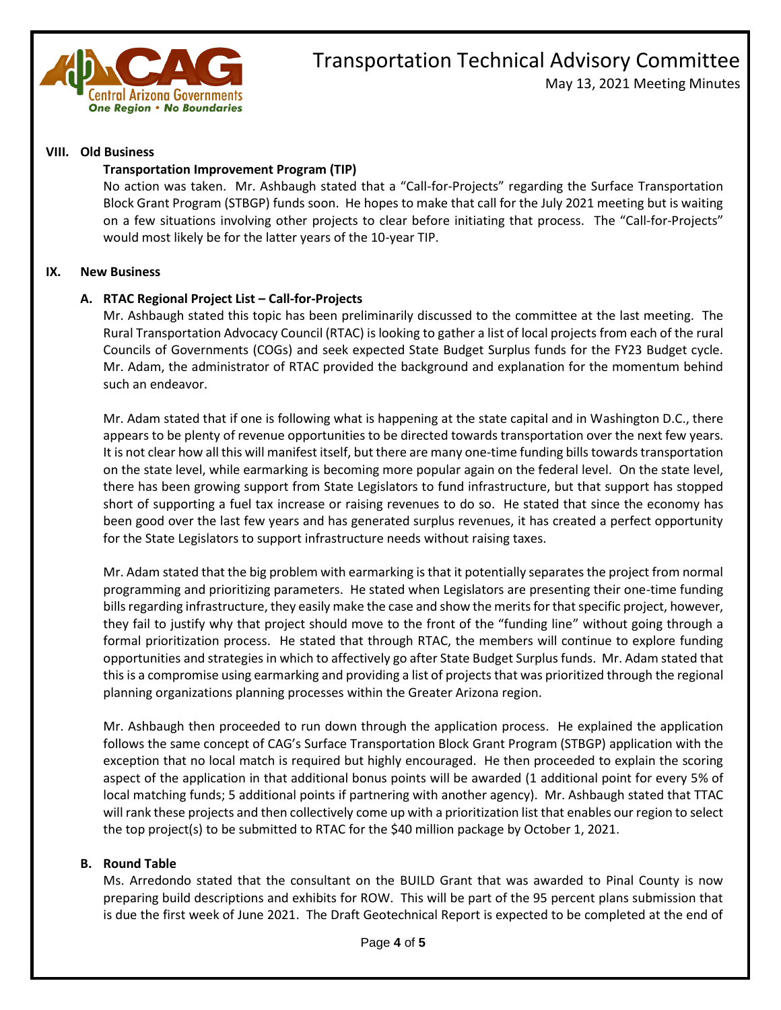

# Transportation Technical Advisory Committee May 13, 2021 Meeting Minutes

### **VIII. Old Business**

### **Transportation Improvement Program (TIP)**

No action was taken. Mr. Ashbaugh stated that a "Call-for-Projects" regarding the Surface Transportation Block Grant Program (STBGP) funds soon. He hopes to make that call for the July 2021 meeting but is waiting on a few situations involving other projects to clear before initiating that process. The "Call-for-Projects" would most likely be for the latter years of the 10-year TIP.

#### **IX. New Business**

## **A. RTAC Regional Project List – Call-for-Projects**

Mr. Ashbaugh stated this topic has been preliminarily discussed to the committee at the last meeting. The Rural Transportation Advocacy Council (RTAC) is looking to gather a list of local projects from each of the rural Councils of Governments (COGs) and seek expected State Budget Surplus funds for the FY23 Budget cycle. Mr. Adam, the administrator of RTAC provided the background and explanation for the momentum behind such an endeavor.

Mr. Adam stated that if one is following what is happening at the state capital and in Washington D.C., there appears to be plenty of revenue opportunities to be directed towards transportation over the next few years. It is not clear how all this will manifest itself, but there are many one-time funding bills towards transportation on the state level, while earmarking is becoming more popular again on the federal level. On the state level, there has been growing support from State Legislators to fund infrastructure, but that support has stopped short of supporting a fuel tax increase or raising revenues to do so. He stated that since the economy has been good over the last few years and has generated surplus revenues, it has created a perfect opportunity for the State Legislators to support infrastructure needs without raising taxes.

Mr. Adam stated that the big problem with earmarking is that it potentially separates the project from normal programming and prioritizing parameters. He stated when Legislators are presenting their one-time funding bills regarding infrastructure, they easily make the case and show the merits for that specific project, however, they fail to justify why that project should move to the front of the "funding line" without going through a formal prioritization process. He stated that through RTAC, the members will continue to explore funding opportunities and strategies in which to affectively go after State Budget Surplus funds. Mr. Adam stated that this is a compromise using earmarking and providing a list of projects that was prioritized through the regional planning organizations planning processes within the Greater Arizona region.

Mr. Ashbaugh then proceeded to run down through the application process. He explained the application follows the same concept of CAG's Surface Transportation Block Grant Program (STBGP) application with the exception that no local match is required but highly encouraged. He then proceeded to explain the scoring aspect of the application in that additional bonus points will be awarded (1 additional point for every 5% of local matching funds; 5 additional points if partnering with another agency). Mr. Ashbaugh stated that TTAC will rank these projects and then collectively come up with a prioritization list that enables our region to select the top project(s) to be submitted to RTAC for the \$40 million package by October 1, 2021.

### **B. Round Table**

Ms. Arredondo stated that the consultant on the BUILD Grant that was awarded to Pinal County is now preparing build descriptions and exhibits for ROW. This will be part of the 95 percent plans submission that is due the first week of June 2021. The Draft Geotechnical Report is expected to be completed at the end of